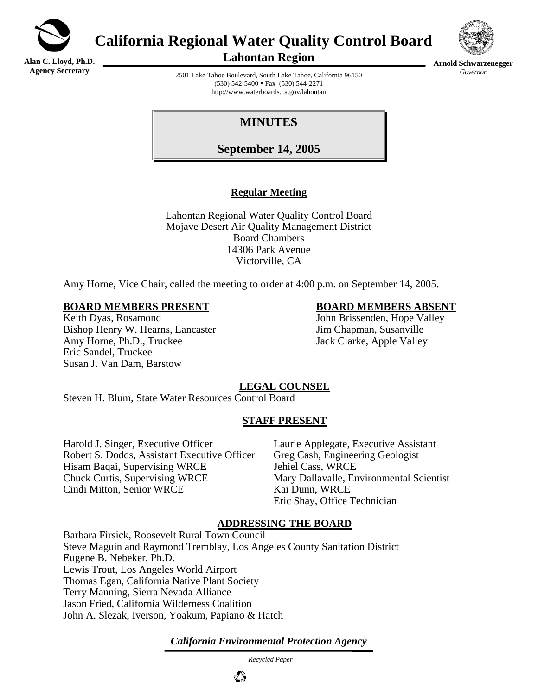

**California Regional Water Quality Control Board** 

**Alan C. Lloyd, Ph.D. Agency Secretary**

**Lahontan Region** 



**Arnold Schwarzenegger** *Governor* 

2501 Lake Tahoe Boulevard, South Lake Tahoe, California 96150  $(530)$  542-5400 • Fax  $(530)$  544-2271 http://www.waterboards.ca.gov/lahontan

# **MINUTES**

**September 14, 2005**

## **Regular Meeting**

Lahontan Regional Water Quality Control Board Mojave Desert Air Quality Management District Board Chambers 14306 Park Avenue Victorville, CA

Amy Horne, Vice Chair, called the meeting to order at 4:00 p.m. on September 14, 2005.

#### **BOARD MEMBERS PRESENT BOARD MEMBERS ABSENT**

Keith Dyas, Rosamond John Brissenden, Hope Valley Bishop Henry W. Hearns, Lancaster Jim Chapman, Susanville Amy Horne, Ph.D., Truckee Jack Clarke, Apple Valley Eric Sandel, Truckee Susan J. Van Dam, Barstow

## **LEGAL COUNSEL**

Steven H. Blum, State Water Resources Control Board

#### **STAFF PRESENT**

Harold J. Singer, Executive Officer Laurie Applegate, Executive Assistant Robert S. Dodds, Assistant Executive Officer Greg Cash, Engineering Geologist Hisam Baqai, Supervising WRCE Jehiel Cass, WRCE Chuck Curtis, Supervising WRCE Mary Dallavalle, Environmental Scientist Cindi Mitton, Senior WRCE Kai Dunn, WRCE

Eric Shay, Office Technician

#### **ADDRESSING THE BOARD**

Barbara Firsick, Roosevelt Rural Town Council Steve Maguin and Raymond Tremblay, Los Angeles County Sanitation District Eugene B. Nebeker, Ph.D. Lewis Trout, Los Angeles World Airport Thomas Egan, California Native Plant Society Terry Manning, Sierra Nevada Alliance Jason Fried, California Wilderness Coalition John A. Slezak, Iverson, Yoakum, Papiano & Hatch

*California Environmental Protection Agency*

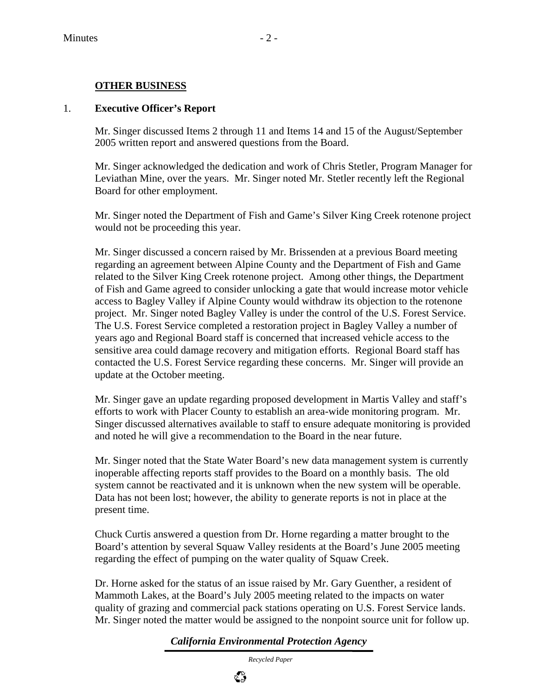## **OTHER BUSINESS**

#### 1. **Executive Officer's Report**

Mr. Singer discussed Items 2 through 11 and Items 14 and 15 of the August/September 2005 written report and answered questions from the Board.

Mr. Singer acknowledged the dedication and work of Chris Stetler, Program Manager for Leviathan Mine, over the years. Mr. Singer noted Mr. Stetler recently left the Regional Board for other employment.

Mr. Singer noted the Department of Fish and Game's Silver King Creek rotenone project would not be proceeding this year.

Mr. Singer discussed a concern raised by Mr. Brissenden at a previous Board meeting regarding an agreement between Alpine County and the Department of Fish and Game related to the Silver King Creek rotenone project. Among other things, the Department of Fish and Game agreed to consider unlocking a gate that would increase motor vehicle access to Bagley Valley if Alpine County would withdraw its objection to the rotenone project. Mr. Singer noted Bagley Valley is under the control of the U.S. Forest Service. The U.S. Forest Service completed a restoration project in Bagley Valley a number of years ago and Regional Board staff is concerned that increased vehicle access to the sensitive area could damage recovery and mitigation efforts. Regional Board staff has contacted the U.S. Forest Service regarding these concerns. Mr. Singer will provide an update at the October meeting.

Mr. Singer gave an update regarding proposed development in Martis Valley and staff's efforts to work with Placer County to establish an area-wide monitoring program. Mr. Singer discussed alternatives available to staff to ensure adequate monitoring is provided and noted he will give a recommendation to the Board in the near future.

Mr. Singer noted that the State Water Board's new data management system is currently inoperable affecting reports staff provides to the Board on a monthly basis. The old system cannot be reactivated and it is unknown when the new system will be operable. Data has not been lost; however, the ability to generate reports is not in place at the present time.

Chuck Curtis answered a question from Dr. Horne regarding a matter brought to the Board's attention by several Squaw Valley residents at the Board's June 2005 meeting regarding the effect of pumping on the water quality of Squaw Creek.

Dr. Horne asked for the status of an issue raised by Mr. Gary Guenther, a resident of Mammoth Lakes, at the Board's July 2005 meeting related to the impacts on water quality of grazing and commercial pack stations operating on U.S. Forest Service lands. Mr. Singer noted the matter would be assigned to the nonpoint source unit for follow up.

#### *California Environmental Protection Agency*

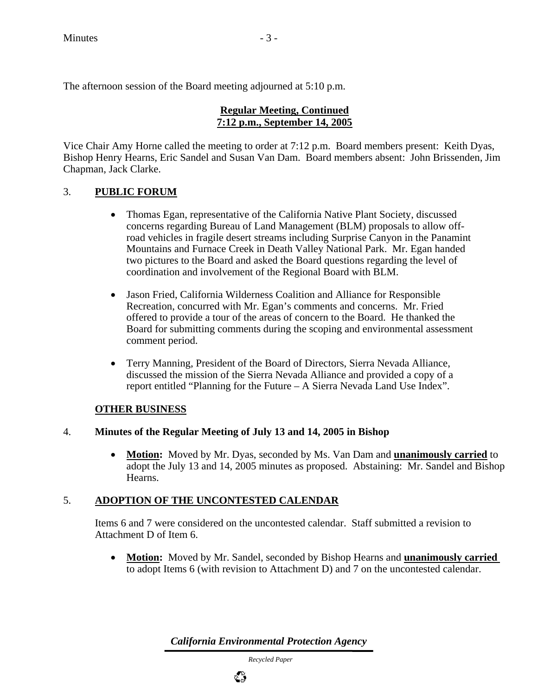The afternoon session of the Board meeting adjourned at 5:10 p.m.

#### **Regular Meeting, Continued 7:12 p.m., September 14, 2005**

Vice Chair Amy Horne called the meeting to order at 7:12 p.m. Board members present: Keith Dyas, Bishop Henry Hearns, Eric Sandel and Susan Van Dam. Board members absent: John Brissenden, Jim Chapman, Jack Clarke.

## 3. **PUBLIC FORUM**

- Thomas Egan, representative of the California Native Plant Society, discussed concerns regarding Bureau of Land Management (BLM) proposals to allow offroad vehicles in fragile desert streams including Surprise Canyon in the Panamint Mountains and Furnace Creek in Death Valley National Park. Mr. Egan handed two pictures to the Board and asked the Board questions regarding the level of coordination and involvement of the Regional Board with BLM.
- Jason Fried, California Wilderness Coalition and Alliance for Responsible Recreation, concurred with Mr. Egan's comments and concerns. Mr. Fried offered to provide a tour of the areas of concern to the Board. He thanked the Board for submitting comments during the scoping and environmental assessment comment period.
- Terry Manning, President of the Board of Directors, Sierra Nevada Alliance, discussed the mission of the Sierra Nevada Alliance and provided a copy of a report entitled "Planning for the Future – A Sierra Nevada Land Use Index".

## **OTHER BUSINESS**

#### 4. **Minutes of the Regular Meeting of July 13 and 14, 2005 in Bishop**

• **Motion:** Moved by Mr. Dyas, seconded by Ms. Van Dam and **unanimously carried** to adopt the July 13 and 14, 2005 minutes as proposed. Abstaining: Mr. Sandel and Bishop Hearns.

#### 5. **ADOPTION OF THE UNCONTESTED CALENDAR**

Items 6 and 7 were considered on the uncontested calendar. Staff submitted a revision to Attachment D of Item 6.

• **Motion:** Moved by Mr. Sandel, seconded by Bishop Hearns and **unanimously carried**  to adopt Items 6 (with revision to Attachment D) and 7 on the uncontested calendar.

*California Environmental Protection Agency*

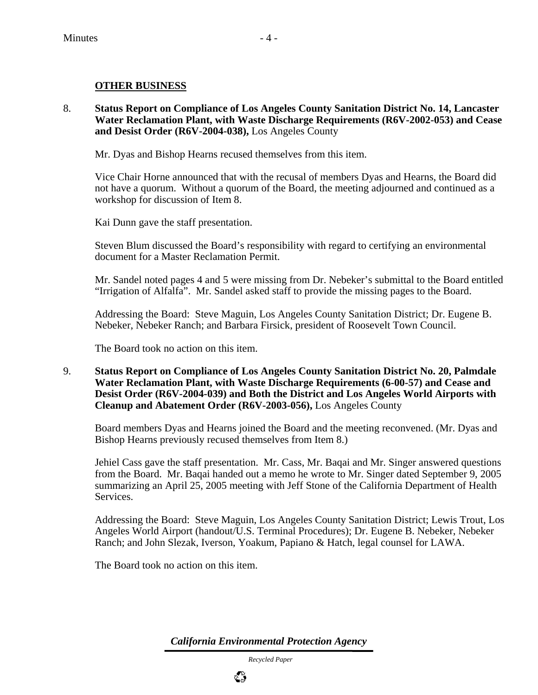#### **OTHER BUSINESS**

8. **Status Report on Compliance of Los Angeles County Sanitation District No. 14, Lancaster Water Reclamation Plant, with Waste Discharge Requirements (R6V-2002-053) and Cease and Desist Order (R6V-2004-038),** Los Angeles County

Mr. Dyas and Bishop Hearns recused themselves from this item.

Vice Chair Horne announced that with the recusal of members Dyas and Hearns, the Board did not have a quorum. Without a quorum of the Board, the meeting adjourned and continued as a workshop for discussion of Item 8.

Kai Dunn gave the staff presentation.

Steven Blum discussed the Board's responsibility with regard to certifying an environmental document for a Master Reclamation Permit.

Mr. Sandel noted pages 4 and 5 were missing from Dr. Nebeker's submittal to the Board entitled "Irrigation of Alfalfa". Mr. Sandel asked staff to provide the missing pages to the Board.

Addressing the Board: Steve Maguin, Los Angeles County Sanitation District; Dr. Eugene B. Nebeker, Nebeker Ranch; and Barbara Firsick, president of Roosevelt Town Council.

The Board took no action on this item.

9. **Status Report on Compliance of Los Angeles County Sanitation District No. 20, Palmdale Water Reclamation Plant, with Waste Discharge Requirements (6-00-57) and Cease and Desist Order (R6V-2004-039) and Both the District and Los Angeles World Airports with Cleanup and Abatement Order (R6V-2003-056),** Los Angeles County

Board members Dyas and Hearns joined the Board and the meeting reconvened. (Mr. Dyas and Bishop Hearns previously recused themselves from Item 8.)

Jehiel Cass gave the staff presentation. Mr. Cass, Mr. Baqai and Mr. Singer answered questions from the Board. Mr. Baqai handed out a memo he wrote to Mr. Singer dated September 9, 2005 summarizing an April 25, 2005 meeting with Jeff Stone of the California Department of Health Services.

Addressing the Board: Steve Maguin, Los Angeles County Sanitation District; Lewis Trout, Los Angeles World Airport (handout/U.S. Terminal Procedures); Dr. Eugene B. Nebeker, Nebeker Ranch; and John Slezak, Iverson, Yoakum, Papiano & Hatch, legal counsel for LAWA.

The Board took no action on this item.

*California Environmental Protection Agency*